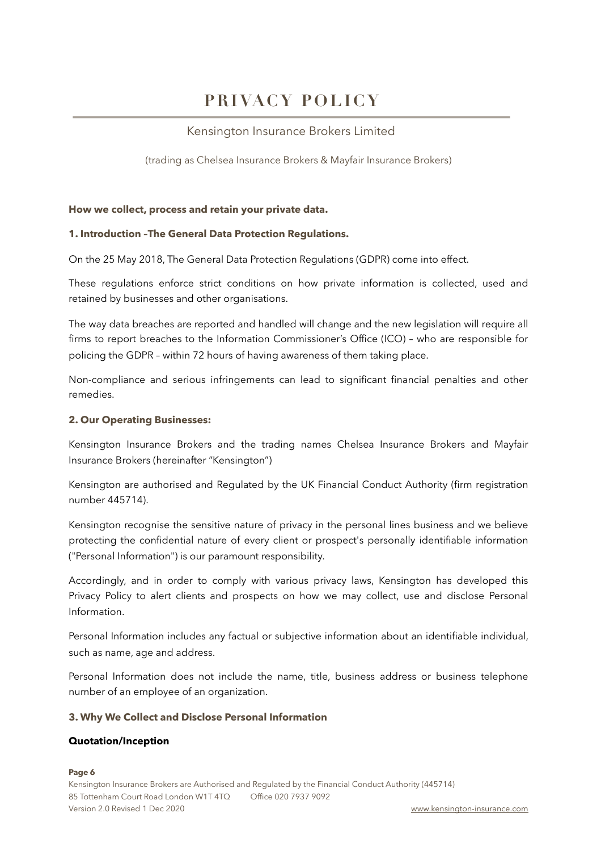# **PRIVACY POLICY**

# Kensington Insurance Brokers Limited

(trading as Chelsea Insurance Brokers & Mayfair Insurance Brokers)

#### **How we collect, process and retain your private data.**

## **1. Introduction –The General Data Protection Regulations.**

On the 25 May 2018, The General Data Protection Regulations (GDPR) come into effect.

These regulations enforce strict conditions on how private information is collected, used and retained by businesses and other organisations.

The way data breaches are reported and handled will change and the new legislation will require all firms to report breaches to the Information Commissioner's Office (ICO) – who are responsible for policing the GDPR – within 72 hours of having awareness of them taking place.

Non-compliance and serious infringements can lead to significant financial penalties and other remedies.

## **2. Our Operating Businesses:**

Kensington Insurance Brokers and the trading names Chelsea Insurance Brokers and Mayfair Insurance Brokers (hereinafter "Kensington")

Kensington are authorised and Regulated by the UK Financial Conduct Authority (firm registration number 445714).

Kensington recognise the sensitive nature of privacy in the personal lines business and we believe protecting the confidential nature of every client or prospect's personally identifiable information ("Personal Information") is our paramount responsibility.

Accordingly, and in order to comply with various privacy laws, Kensington has developed this Privacy Policy to alert clients and prospects on how we may collect, use and disclose Personal Information.

Personal Information includes any factual or subjective information about an identifiable individual, such as name, age and address.

Personal Information does not include the name, title, business address or business telephone number of an employee of an organization.

#### **3. Why We Collect and Disclose Personal Information**

#### **Quotation/Inception**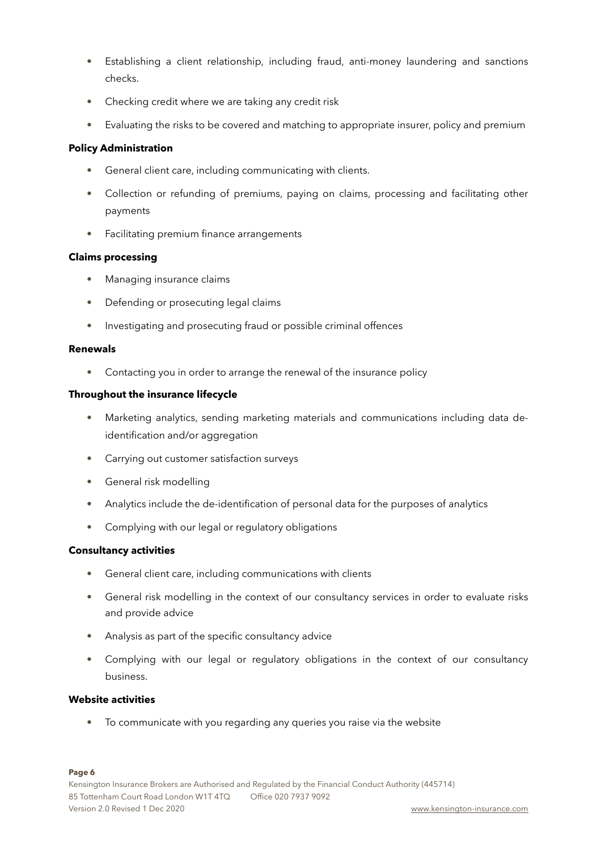- Establishing a client relationship, including fraud, anti-money laundering and sanctions checks.
- Checking credit where we are taking any credit risk
- Evaluating the risks to be covered and matching to appropriate insurer, policy and premium

# **Policy Administration**

- General client care, including communicating with clients.
- Collection or refunding of premiums, paying on claims, processing and facilitating other payments
- Facilitating premium finance arrangements

## **Claims processing**

- Managing insurance claims
- Defending or prosecuting legal claims
- Investigating and prosecuting fraud or possible criminal offences

#### **Renewals**

• Contacting you in order to arrange the renewal of the insurance policy

## **Throughout the insurance lifecycle**

- Marketing analytics, sending marketing materials and communications including data deidentification and/or aggregation
- Carrying out customer satisfaction surveys
- General risk modelling
- Analytics include the de-identification of personal data for the purposes of analytics
- Complying with our legal or regulatory obligations

#### **Consultancy activities**

- General client care, including communications with clients
- General risk modelling in the context of our consultancy services in order to evaluate risks and provide advice
- Analysis as part of the specific consultancy advice
- Complying with our legal or regulatory obligations in the context of our consultancy business.

#### **Website activities**

• To communicate with you regarding any queries you raise via the website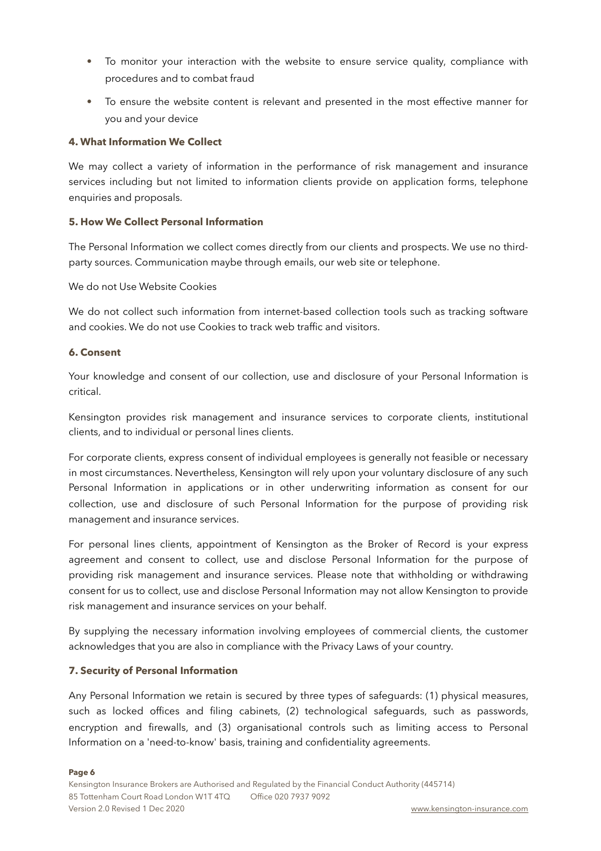- To monitor your interaction with the website to ensure service quality, compliance with procedures and to combat fraud
- To ensure the website content is relevant and presented in the most effective manner for you and your device

#### **4. What Information We Collect**

We may collect a variety of information in the performance of risk management and insurance services including but not limited to information clients provide on application forms, telephone enquiries and proposals.

## **5. How We Collect Personal Information**

The Personal Information we collect comes directly from our clients and prospects. We use no thirdparty sources. Communication maybe through emails, our web site or telephone.

## We do not Use Website Cookies

We do not collect such information from internet-based collection tools such as tracking software and cookies. We do not use Cookies to track web traffic and visitors.

## **6. Consent**

Your knowledge and consent of our collection, use and disclosure of your Personal Information is critical.

Kensington provides risk management and insurance services to corporate clients, institutional clients, and to individual or personal lines clients.

For corporate clients, express consent of individual employees is generally not feasible or necessary in most circumstances. Nevertheless, Kensington will rely upon your voluntary disclosure of any such Personal Information in applications or in other underwriting information as consent for our collection, use and disclosure of such Personal Information for the purpose of providing risk management and insurance services.

For personal lines clients, appointment of Kensington as the Broker of Record is your express agreement and consent to collect, use and disclose Personal Information for the purpose of providing risk management and insurance services. Please note that withholding or withdrawing consent for us to collect, use and disclose Personal Information may not allow Kensington to provide risk management and insurance services on your behalf.

By supplying the necessary information involving employees of commercial clients, the customer acknowledges that you are also in compliance with the Privacy Laws of your country.

# **7. Security of Personal Information**

Any Personal Information we retain is secured by three types of safeguards: (1) physical measures, such as locked offices and filing cabinets, (2) technological safeguards, such as passwords, encryption and firewalls, and (3) organisational controls such as limiting access to Personal Information on a 'need-to-know' basis, training and confidentiality agreements.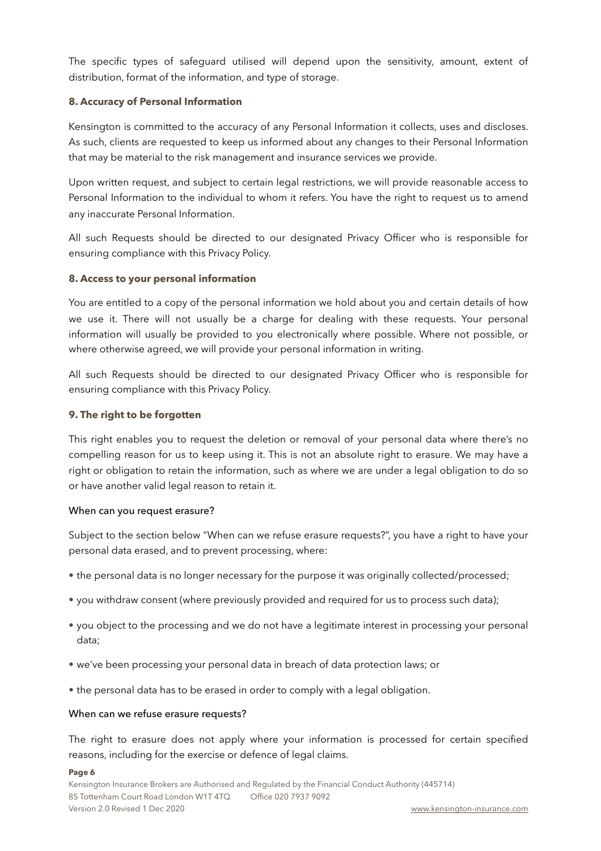The specific types of safeguard utilised will depend upon the sensitivity, amount, extent of distribution, format of the information, and type of storage.

# **8. Accuracy of Personal Information**

Kensington is committed to the accuracy of any Personal Information it collects, uses and discloses. As such, clients are requested to keep us informed about any changes to their Personal Information that may be material to the risk management and insurance services we provide.

Upon written request, and subject to certain legal restrictions, we will provide reasonable access to Personal Information to the individual to whom it refers. You have the right to request us to amend any inaccurate Personal Information.

All such Requests should be directed to our designated Privacy Officer who is responsible for ensuring compliance with this Privacy Policy.

## **8. Access to your personal information**

You are entitled to a copy of the personal information we hold about you and certain details of how we use it. There will not usually be a charge for dealing with these requests. Your personal information will usually be provided to you electronically where possible. Where not possible, or where otherwise agreed, we will provide your personal information in writing.

All such Requests should be directed to our designated Privacy Officer who is responsible for ensuring compliance with this Privacy Policy.

## **9. The right to be forgotten**

This right enables you to request the deletion or removal of your personal data where there's no compelling reason for us to keep using it. This is not an absolute right to erasure. We may have a right or obligation to retain the information, such as where we are under a legal obligation to do so or have another valid legal reason to retain it.

#### When can you request erasure?

Subject to the section below "When can we refuse erasure requests?", you have a right to have your personal data erased, and to prevent processing, where:

- the personal data is no longer necessary for the purpose it was originally collected/processed;
- you withdraw consent (where previously provided and required for us to process such data);
- you object to the processing and we do not have a legitimate interest in processing your personal data;
- we've been processing your personal data in breach of data protection laws; or
- the personal data has to be erased in order to comply with a legal obligation.

#### When can we refuse erasure requests?

The right to erasure does not apply where your information is processed for certain specified reasons, including for the exercise or defence of legal claims.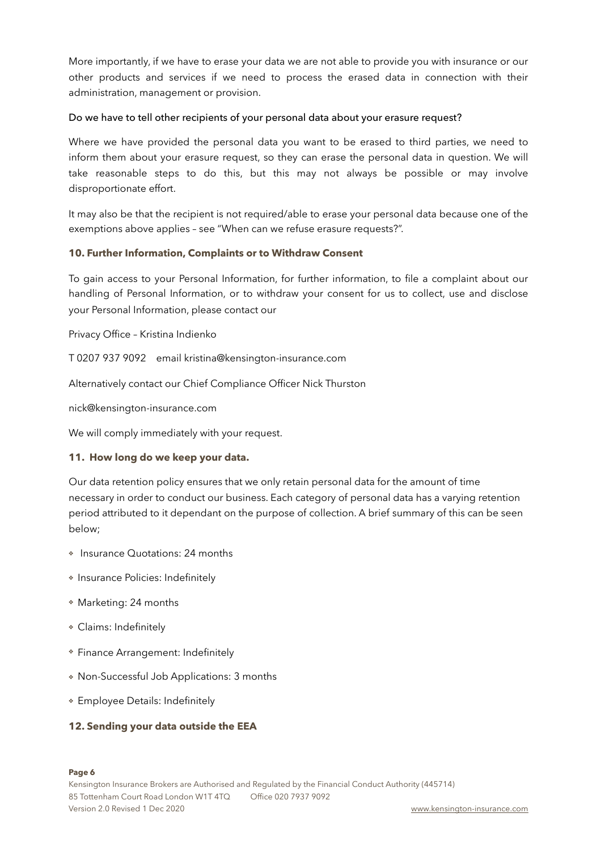More importantly, if we have to erase your data we are not able to provide you with insurance or our other products and services if we need to process the erased data in connection with their administration, management or provision.

## Do we have to tell other recipients of your personal data about your erasure request?

Where we have provided the personal data you want to be erased to third parties, we need to inform them about your erasure request, so they can erase the personal data in question. We will take reasonable steps to do this, but this may not always be possible or may involve disproportionate effort.

It may also be that the recipient is not required/able to erase your personal data because one of the exemptions above applies – see "When can we refuse erasure requests?".

## **10. Further Information, Complaints or to Withdraw Consent**

To gain access to your Personal Information, for further information, to file a complaint about our handling of Personal Information, or to withdraw your consent for us to collect, use and disclose your Personal Information, please contact our

Privacy Office – Kristina Indienko

T 0207 937 9092 email kristina@kensington-insurance.com

Alternatively contact our Chief Compliance Officer Nick Thurston

nick@kensington-insurance.com

We will comply immediately with your request.

#### **11. How long do we keep your data.**

Our data retention policy ensures that we only retain personal data for the amount of time necessary in order to conduct our business. Each category of personal data has a varying retention period attributed to it dependant on the purpose of collection. A brief summary of this can be seen below;

- ❖ Insurance Quotations: 24 months
- ❖ Insurance Policies: Indefinitely
- ❖ Marketing: 24 months
- ❖ Claims: Indefinitely
- ❖ Finance Arrangement: Indefinitely
- ❖ Non-Successful Job Applications: 3 months
- ❖ Employee Details: Indefinitely

# **12. Sending your data outside the EEA**